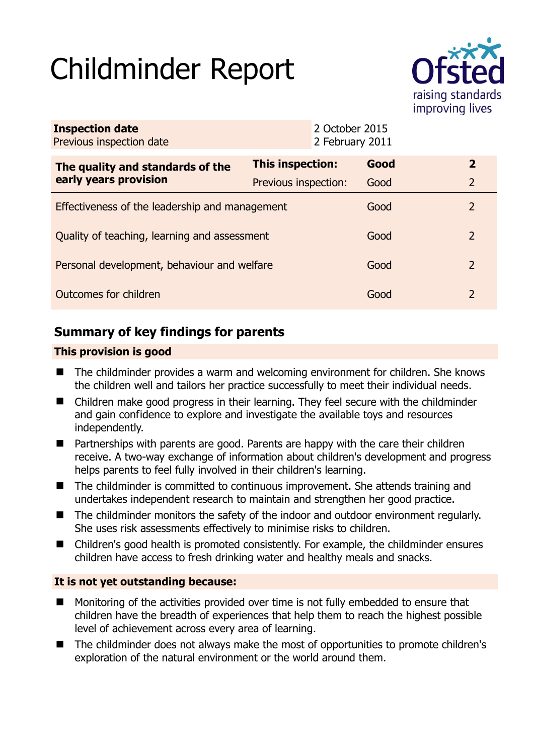# Childminder Report



| <b>Inspection date</b><br>Previous inspection date |                      | 2 October 2015<br>2 February 2011 |      |               |
|----------------------------------------------------|----------------------|-----------------------------------|------|---------------|
| The quality and standards of the                   | This inspection:     |                                   | Good | $\mathbf{2}$  |
| early years provision                              | Previous inspection: |                                   | Good | 2             |
| Effectiveness of the leadership and management     |                      |                                   | Good | $\mathcal{P}$ |
| Quality of teaching, learning and assessment       |                      |                                   | Good | $\mathcal{P}$ |
| Personal development, behaviour and welfare        |                      |                                   | Good | 2             |
| Outcomes for children                              |                      |                                   | Good | $\mathcal{P}$ |

# **Summary of key findings for parents**

## **This provision is good**

- The childminder provides a warm and welcoming environment for children. She knows the children well and tailors her practice successfully to meet their individual needs.
- Children make good progress in their learning. They feel secure with the childminder and gain confidence to explore and investigate the available toys and resources independently.
- $\blacksquare$  Partnerships with parents are good. Parents are happy with the care their children receive. A two-way exchange of information about children's development and progress helps parents to feel fully involved in their children's learning.
- The childminder is committed to continuous improvement. She attends training and undertakes independent research to maintain and strengthen her good practice.
- The childminder monitors the safety of the indoor and outdoor environment regularly. She uses risk assessments effectively to minimise risks to children.
- Children's good health is promoted consistently. For example, the childminder ensures children have access to fresh drinking water and healthy meals and snacks.

## **It is not yet outstanding because:**

- **Monitoring of the activities provided over time is not fully embedded to ensure that** children have the breadth of experiences that help them to reach the highest possible level of achievement across every area of learning.
- The childminder does not always make the most of opportunities to promote children's exploration of the natural environment or the world around them.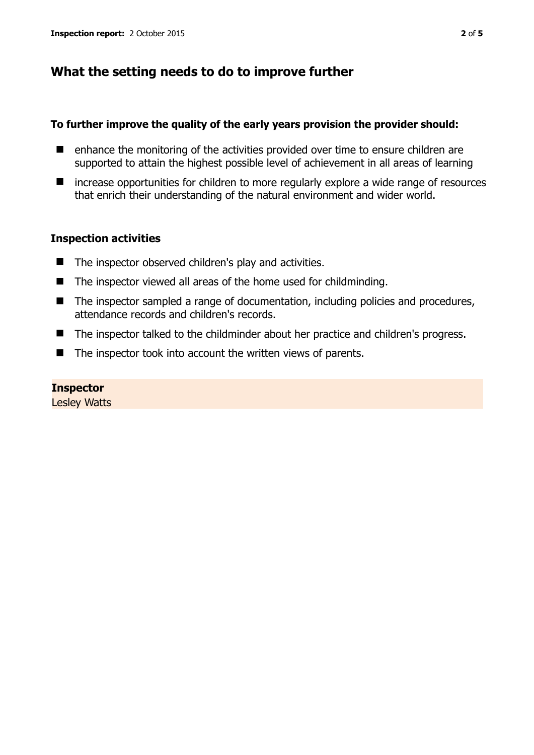## **What the setting needs to do to improve further**

#### **To further improve the quality of the early years provision the provider should:**

- enhance the monitoring of the activities provided over time to ensure children are supported to attain the highest possible level of achievement in all areas of learning
- increase opportunities for children to more regularly explore a wide range of resources that enrich their understanding of the natural environment and wider world.

#### **Inspection activities**

- The inspector observed children's play and activities.
- The inspector viewed all areas of the home used for childminding.
- The inspector sampled a range of documentation, including policies and procedures, attendance records and children's records.
- The inspector talked to the childminder about her practice and children's progress.
- The inspector took into account the written views of parents.

#### **Inspector**

Lesley Watts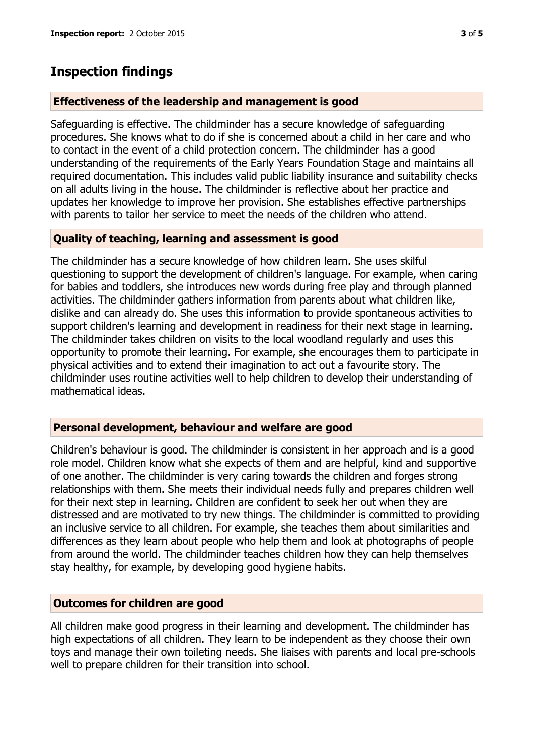# **Inspection findings**

#### **Effectiveness of the leadership and management is good**

Safeguarding is effective. The childminder has a secure knowledge of safeguarding procedures. She knows what to do if she is concerned about a child in her care and who to contact in the event of a child protection concern. The childminder has a good understanding of the requirements of the Early Years Foundation Stage and maintains all required documentation. This includes valid public liability insurance and suitability checks on all adults living in the house. The childminder is reflective about her practice and updates her knowledge to improve her provision. She establishes effective partnerships with parents to tailor her service to meet the needs of the children who attend.

## **Quality of teaching, learning and assessment is good**

The childminder has a secure knowledge of how children learn. She uses skilful questioning to support the development of children's language. For example, when caring for babies and toddlers, she introduces new words during free play and through planned activities. The childminder gathers information from parents about what children like, dislike and can already do. She uses this information to provide spontaneous activities to support children's learning and development in readiness for their next stage in learning. The childminder takes children on visits to the local woodland regularly and uses this opportunity to promote their learning. For example, she encourages them to participate in physical activities and to extend their imagination to act out a favourite story. The childminder uses routine activities well to help children to develop their understanding of mathematical ideas.

#### **Personal development, behaviour and welfare are good**

Children's behaviour is good. The childminder is consistent in her approach and is a good role model. Children know what she expects of them and are helpful, kind and supportive of one another. The childminder is very caring towards the children and forges strong relationships with them. She meets their individual needs fully and prepares children well for their next step in learning. Children are confident to seek her out when they are distressed and are motivated to try new things. The childminder is committed to providing an inclusive service to all children. For example, she teaches them about similarities and differences as they learn about people who help them and look at photographs of people from around the world. The childminder teaches children how they can help themselves stay healthy, for example, by developing good hygiene habits.

#### **Outcomes for children are good**

All children make good progress in their learning and development. The childminder has high expectations of all children. They learn to be independent as they choose their own toys and manage their own toileting needs. She liaises with parents and local pre-schools well to prepare children for their transition into school.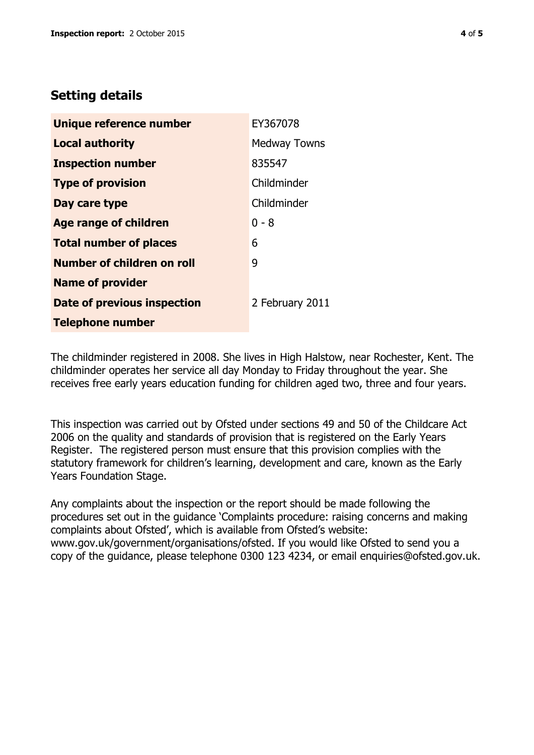## **Setting details**

| Unique reference number            | EY367078            |
|------------------------------------|---------------------|
| <b>Local authority</b>             | <b>Medway Towns</b> |
| <b>Inspection number</b>           | 835547              |
| <b>Type of provision</b>           | Childminder         |
| Day care type                      | Childminder         |
| <b>Age range of children</b>       | $0 - 8$             |
| <b>Total number of places</b>      | 6                   |
| Number of children on roll         | 9                   |
| <b>Name of provider</b>            |                     |
| <b>Date of previous inspection</b> | 2 February 2011     |
| <b>Telephone number</b>            |                     |

The childminder registered in 2008. She lives in High Halstow, near Rochester, Kent. The childminder operates her service all day Monday to Friday throughout the year. She receives free early years education funding for children aged two, three and four years.

This inspection was carried out by Ofsted under sections 49 and 50 of the Childcare Act 2006 on the quality and standards of provision that is registered on the Early Years Register. The registered person must ensure that this provision complies with the statutory framework for children's learning, development and care, known as the Early Years Foundation Stage.

Any complaints about the inspection or the report should be made following the procedures set out in the guidance 'Complaints procedure: raising concerns and making complaints about Ofsted', which is available from Ofsted's website: www.gov.uk/government/organisations/ofsted. If you would like Ofsted to send you a copy of the guidance, please telephone 0300 123 4234, or email enquiries@ofsted.gov.uk.